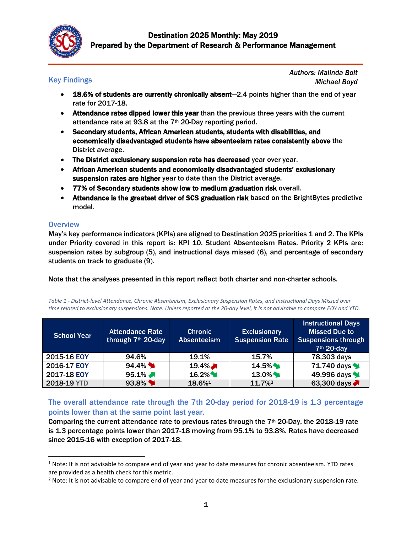

# Key Findings

*Authors: Malinda Bolt Michael Boyd*

- 18.6% of students are currently chronically absent—2.4 points higher than the end of year rate for 2017-18.
- Attendance rates dipped lower this year than the previous three years with the current attendance rate at 93.8 at the 7th 20-Day reporting period.
- Secondary students, African American students, students with disabilities, and economically disadvantaged students have absenteeism rates consistently above the District average.
- The District exclusionary suspension rate has decreased year over year.
- African American students and economically disadvantaged students' exclusionary suspension rates are higher year to date than the District average.
- 77% of Secondary students show low to medium graduation risk overall.
- Attendance is the greatest driver of SCS graduation risk based on the BrightBytes predictive model.

## **Overview**

 $\overline{a}$ 

May's key performance indicators (KPIs) are aligned to Destination 2025 priorities 1 and 2. The KPIs under Priority covered in this report is: KPI 10, Student Absenteeism Rates. Priority 2 KPIs are: suspension rates by subgroup (5), and instructional days missed (6), and percentage of secondary students on track to graduate (9).

Note that the analyses presented in this report reflect both charter and non-charter schools.

*Table 1 - District-level Attendance, Chronic Absenteeism, Exclusionary Suspension Rates, and Instructional Days Missed over time related to exclusionary suspensions. Note: Unless reported at the 20-day level, it is not advisable to compare EOY and YTD.*

| <b>School Year</b> | <b>Attendance Rate</b><br>through 7th 20-day | <b>Chronic</b><br><b>Absenteeism</b> | <b>Exclusionary</b><br><b>Suspension Rate</b> | <b>Instructional Days</b><br><b>Missed Due to</b><br><b>Suspensions through</b><br>7 <sup>th</sup> 20-day |
|--------------------|----------------------------------------------|--------------------------------------|-----------------------------------------------|-----------------------------------------------------------------------------------------------------------|
| 2015-16 EOY        | 94.6%                                        | 19.1%                                | 15.7%                                         | 78,303 days                                                                                               |
| 2016-17 EOY        | $94.4\%$                                     | $19.4\%$                             | $14.5\%$                                      | 71,740 days                                                                                               |
| 2017-18 EOY        | $95.1\%$                                     | $16.2\%$                             | $13.0\%$                                      | 49,996 days                                                                                               |
| 2018-19 YTD        | 93.8%                                        | 18.6%1                               | $11.7\%$ <sup>2</sup>                         | 63,300 days                                                                                               |

## The overall attendance rate through the 7th 20-day period for 2018-19 is 1.3 percentage points lower than at the same point last year.

Comparing the current attendance rate to previous rates through the 7<sup>th</sup> 20-Day, the 2018-19 rate is 1.3 percentage points lower than 2017-18 moving from 95.1% to 93.8%. Rates have decreased since 2015-16 with exception of 2017-18.

<sup>&</sup>lt;sup>1</sup> Note: It is not advisable to compare end of year and year to date measures for chronic absenteeism. YTD rates are provided as a health check for this metric.

 $2$  Note: It is not advisable to compare end of year and year to date measures for the exclusionary suspension rate.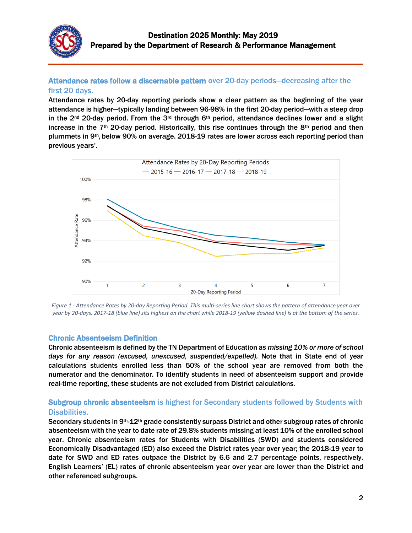

## Attendance rates follow a discernable pattern over 20-day periods—decreasing after the first 20 days.

Attendance rates by 20-day reporting periods show a clear pattern as the beginning of the year attendance is higher—typically landing between 96-98% in the first 20-day period—with a steep drop in the  $2^{nd}$  20-day period. From the  $3^{rd}$  through  $6^{th}$  period, attendance declines lower and a slight increase in the 7<sup>th</sup> 20-day period. Historically, this rise continues through the 8<sup>th</sup> period and then plummets in 9th, below 90% on average. 2018-19 rates are lower across each reporting period than previous years'.



*Figure 1 - Attendance Rates by 20-day Reporting Period. This multi-series line chart shows the pattern of attendance year over year by 20-days. 2017-18 (blue line) sits highest on the chart while 2018-19 (yellow dashed line) is at the bottom of the series.*

#### Chronic Absenteeism Definition

Chronic absenteeism is defined by the TN Department of Education as *missing 10% or more of school days for any reason (excused, unexcused, suspended/expelled).* Note that in State end of year calculations students enrolled less than 50% of the school year are removed from both the numerator and the denominator. To identify students in need of absenteeism support and provide real-time reporting, these students are not excluded from District calculations.

# Subgroup chronic absenteeism is highest for Secondary students followed by Students with Disabilities.

Secondary students in 9<sup>th</sup>-12<sup>th</sup> grade consistently surpass District and other subgroup rates of chronic absenteeism with the year to date rate of 29.8% students missing at least 10% of the enrolled school year. Chronic absenteeism rates for Students with Disabilities (SWD) and students considered Economically Disadvantaged (ED) also exceed the District rates year over year; the 2018-19 year to date for SWD and ED rates outpace the District by 6.6 and 2.7 percentage points, respectively. English Learners' (EL) rates of chronic absenteeism year over year are lower than the District and other referenced subgroups.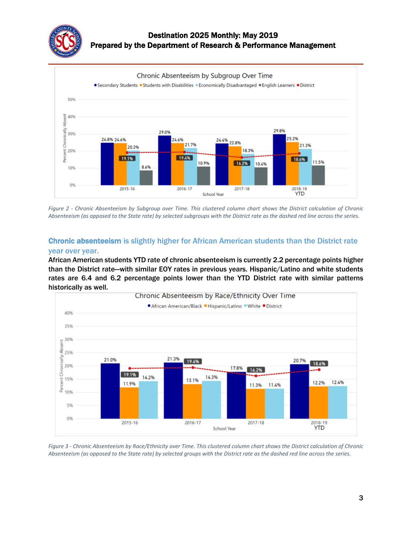



*Figure 2 - Chronic Absenteeism by Subgroup over Time. This clustered column chart shows the District calculation of Chronic Absenteeism (as opposed to the State rate) by selected subgroups with the District rate as the dashed red line across the series.*

# Chronic absenteeism is slightly higher for African American students than the District rate year over year.

African American students YTD rate of chronic absenteeism is currently 2.2 percentage points higher than the District rate—with similar EOY rates in previous years. Hispanic/Latino and white students rates are 6.4 and 6.2 percentage points lower than the YTD District rate with similar patterns historically as well.



*Figure 3 - Chronic Absenteeism by Race/Ethnicity over Time. This clustered column chart shows the District calculation of Chronic Absenteeism (as opposed to the State rate) by selected groups with the District rate as the dashed red line across the series.*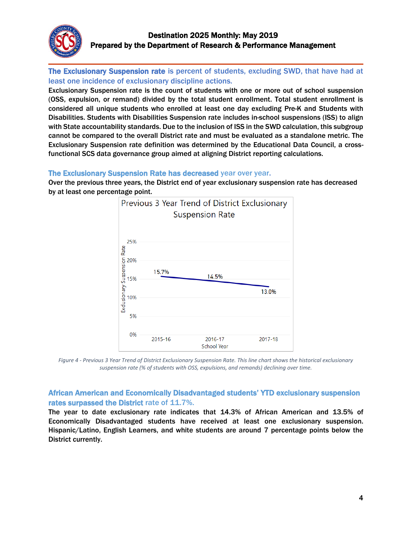

The Exclusionary Suspension rate is percent of students, excluding SWD, that have had at least one incidence of exclusionary discipline actions.

Exclusionary Suspension rate is the count of students with one or more out of school suspension (OSS, expulsion, or remand) divided by the total student enrollment. Total student enrollment is considered all unique students who enrolled at least one day excluding Pre-K and Students with Disabilities. Students with Disabilities Suspension rate includes in-school suspensions (ISS) to align with State accountability standards. Due to the inclusion of ISS in the SWD calculation, this subgroup cannot be compared to the overall District rate and must be evaluated as a standalone metric. The Exclusionary Suspension rate definition was determined by the Educational Data Council, a crossfunctional SCS data governance group aimed at aligning District reporting calculations.

#### The Exclusionary Suspension Rate has decreased year over year.

Over the previous three years, the District end of year exclusionary suspension rate has decreased by at least one percentage point.



*Figure 4 - Previous 3 Year Trend of District Exclusionary Suspension Rate. This line chart shows the historical exclusionary suspension rate (% of students with OSS, expulsions, and remands) declining over time.*

## African American and Economically Disadvantaged students' YTD exclusionary suspension rates surpassed the District rate of 11.7%.

The year to date exclusionary rate indicates that 14.3% of African American and 13.5% of Economically Disadvantaged students have received at least one exclusionary suspension. Hispanic/Latino, English Learners, and white students are around 7 percentage points below the District currently.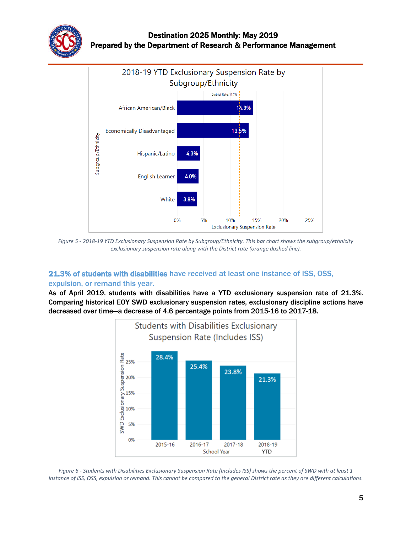



*Figure 5 - 2018-19 YTD Exclusionary Suspension Rate by Subgroup/Ethnicity. This bar chart shows the subgroup/ethnicity exclusionary suspension rate along with the District rate (orange dashed line).*

# 21.3% of students with disabilities have received at least one instance of ISS, OSS, expulsion, or remand this year.

As of April 2019, students with disabilities have a YTD exclusionary suspension rate of 21.3%. Comparing historical EOY SWD exclusionary suspension rates, exclusionary discipline actions have decreased over time—a decrease of 4.6 percentage points from 2015-16 to 2017-18.



*Figure 6 - Students with Disabilities Exclusionary Suspension Rate (Includes ISS) shows the percent of SWD with at least 1 instance of ISS, OSS, expulsion or remand. This cannot be compared to the general District rate as they are different calculations.*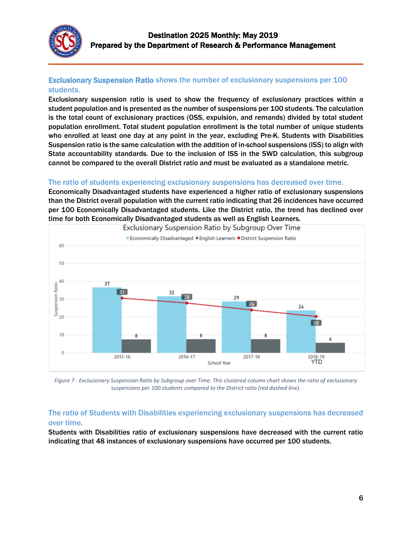

# Exclusionary Suspension Ratio shows the number of exclusionary suspensions per 100 students.

Exclusionary suspension ratio is used to show the frequency of exclusionary practices within a student population and is presented as the number of suspensions per 100 students. The calculation is the total count of exclusionary practices (OSS, expulsion, and remands) divided by total student population enrollment. Total student population enrollment is the total number of unique students who enrolled at least one day at any point in the year, excluding Pre-K. Students with Disabilities Suspension ratio is the same calculation with the addition of in-school suspensions (ISS) to align with State accountability standards. Due to the inclusion of ISS in the SWD calculation, this subgroup cannot be compared to the overall District ratio and must be evaluated as a standalone metric.

# The ratio of students experiencing exclusionary suspensions has decreased over time.

Economically Disadvantaged students have experienced a higher ratio of exclusionary suspensions than the District overall population with the current ratio indicating that 26 incidences have occurred per 100 Economically Disadvantaged students. Like the District ratio, the trend has declined over time for both Economically Disadvantaged students as well as English Learners.



*Figure 7 - Exclusionary Suspension Ratio by Subgroup over Time. This clustered column chart shows the ratio of exclusionary suspensions per 100 students compared to the District ratio (red dashed line).*

## The ratio of Students with Disabilities experiencing exclusionary suspensions has decreased over time.

Students with Disabilities ratio of exclusionary suspensions have decreased with the current ratio indicating that 48 instances of exclusionary suspensions have occurred per 100 students.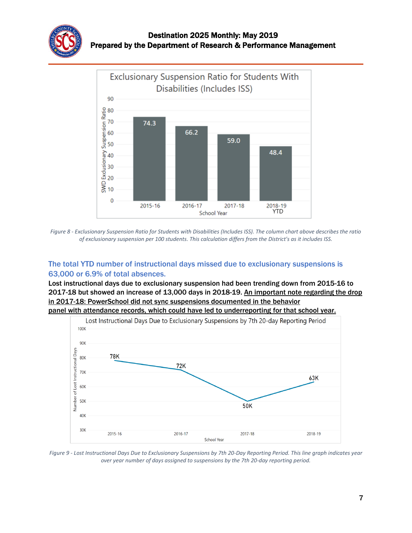



*Figure 8 - Exclusionary Suspension Ratio for Students with Disabilities (Includes ISS). The column chart above describes the ratio of exclusionary suspension per 100 students. This calculation differs from the District's as it includes ISS.*

# The total YTD number of instructional days missed due to exclusionary suspensions is 63,000 or 6.9% of total absences.

Lost instructional days due to exclusionary suspension had been trending down from 2015-16 to 2017-18 but showed an increase of 13,000 days in 2018-19. An important note regarding the drop in 2017-18: PowerSchool did not sync suspensions documented in the behavior panel with attendance records, which could have led to underreporting for that school year.



*Figure 9 - Lost Instructional Days Due to Exclusionary Suspensions by 7th 20-Day Reporting Period. This line graph indicates year over year number of days assigned to suspensions by the 7th 20-day reporting period.*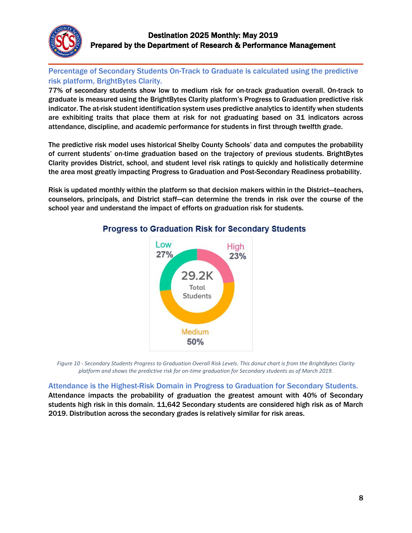

# Percentage of Secondary Students On-Track to Graduate is calculated using the predictive risk platform, BrightBytes Clarity.

77% of secondary students show low to medium risk for on-track graduation overall. On-track to graduate is measured using the BrightBytes Clarity platform's Progress to Graduation predictive risk indicator. The at-risk student identification system uses predictive analytics to identify when students are exhibiting traits that place them at risk for not graduating based on 31 indicators across attendance, discipline, and academic performance for students in first through twelfth grade.

The predictive risk model uses historical Shelby County Schools' data and computes the probability of current students' on-time graduation based on the trajectory of previous students. BrightBytes Clarity provides District, school, and student level risk ratings to quickly and holistically determine the area most greatly impacting Progress to Graduation and Post-Secondary Readiness probability.

Risk is updated monthly within the platform so that decision makers within in the District—teachers, counselors, principals, and District staff—can determine the trends in risk over the course of the school year and understand the impact of efforts on graduation risk for students.



# **Progress to Graduation Risk for Secondary Students**

*Figure 10 - Secondary Students Progress to Graduation Overall Risk Levels. This donut chart is from the BrightBytes Clarity platform and shows the predictive risk for on-time graduation for Secondary students as of March 2019.*

# Attendance is the Highest-Risk Domain in Progress to Graduation for Secondary Students.

Attendance impacts the probability of graduation the greatest amount with 40% of Secondary students high risk in this domain. 11,642 Secondary students are considered high risk as of March 2019. Distribution across the secondary grades is relatively similar for risk areas.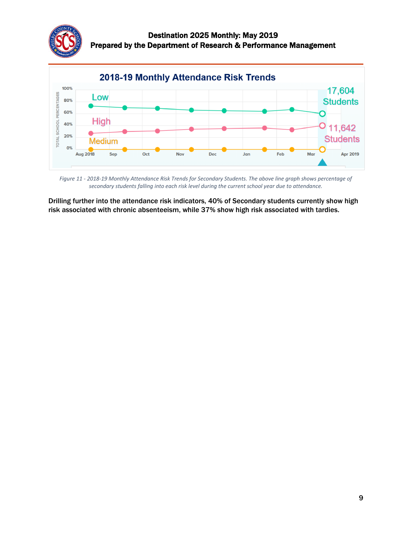



*Figure 11 - 2018-19 Monthly Attendance Risk Trends for Secondary Students. The above line graph shows percentage of secondary students falling into each risk level during the current school year due to attendance.*

Drilling further into the attendance risk indicators, 40% of Secondary students currently show high risk associated with chronic absenteeism, while 37% show high risk associated with tardies.